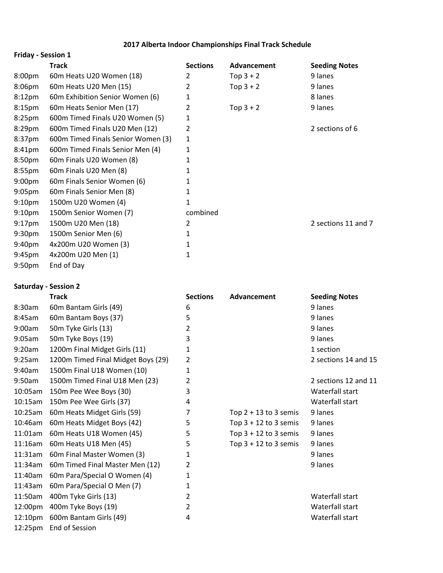#### **2017 Alberta Indoor Championships Final Track Schedule**

| <b>Friday - Session 1</b> |                                    |                 |             |                      |
|---------------------------|------------------------------------|-----------------|-------------|----------------------|
|                           | <b>Track</b>                       | <b>Sections</b> | Advancement | <b>Seeding Notes</b> |
| 8:00 <sub>pm</sub>        | 60m Heats U20 Women (18)           | 2               | Top $3 + 2$ | 9 lanes              |
| 8:06pm                    | 60m Heats U20 Men (15)             | 2               | Top $3 + 2$ | 9 lanes              |
| 8:12 <sub>pm</sub>        | 60m Exhibition Senior Women (6)    | 1               |             | 8 lanes              |
| 8:15pm                    | 60m Heats Senior Men (17)          | 2               | Top $3 + 2$ | 9 lanes              |
| 8:25 <sub>pm</sub>        | 600m Timed Finals U20 Women (5)    | 1               |             |                      |
| 8:29pm                    | 600m Timed Finals U20 Men (12)     | 2               |             | 2 sections of 6      |
| 8:37pm                    | 600m Timed Finals Senior Women (3) | 1               |             |                      |
| 8:41pm                    | 600m Timed Finals Senior Men (4)   | 1               |             |                      |
| 8:50pm                    | 60m Finals U20 Women (8)           | 1               |             |                      |
| $8:55$ pm                 | 60m Finals U20 Men (8)             | 1               |             |                      |
| 9:00 <sub>pm</sub>        | 60m Finals Senior Women (6)        | 1               |             |                      |
| 9:05 <sub>pm</sub>        | 60m Finals Senior Men (8)          | 1               |             |                      |
| 9:10 <sub>pm</sub>        | 1500m U20 Women (4)                | 1               |             |                      |
| 9:10 <sub>pm</sub>        | 1500m Senior Women (7)             | combined        |             |                      |
| $9:17$ pm                 | 1500m U20 Men (18)                 | 2               |             | 2 sections 11 and 7  |
| 9:30 <sub>pm</sub>        | 1500m Senior Men (6)               | 1               |             |                      |
| 9:40 <sub>pm</sub>        | 4x200m U20 Women (3)               | 1               |             |                      |
| 9:45 <sub>pm</sub>        | 4x200m U20 Men (1)                 | 1               |             |                      |
| 9:50 <sub>pm</sub>        | End of Day                         |                 |             |                      |

#### **Saturday - Session 2**

|                     | <b>Track</b>                       | <b>Sections</b> | Advancement             | <b>Seeding Notes</b> |
|---------------------|------------------------------------|-----------------|-------------------------|----------------------|
| 8:30am              | 60m Bantam Girls (49)              | 6               |                         | 9 lanes              |
| 8:45am              | 60m Bantam Boys (37)               | 5               |                         | 9 lanes              |
| 9:00am              | 50m Tyke Girls (13)                | 2               |                         | 9 lanes              |
| 9:05am              | 50m Tyke Boys (19)                 | 3               |                         | 9 lanes              |
| 9:20am              | 1200m Final Midget Girls (11)      | 1               |                         | 1 section            |
| 9:25am              | 1200m Timed Final Midget Boys (29) | 2               |                         | 2 sections 14 and 15 |
| 9:40am              | 1500m Final U18 Women (10)         | 1               |                         |                      |
| 9:50am              | 1500m Timed Final U18 Men (23)     | 2               |                         | 2 sections 12 and 11 |
| 10:05am             | 150m Pee Wee Boys (30)             | 3               |                         | Waterfall start      |
| 10:15am             | 150m Pee Wee Girls (37)            | 4               |                         | Waterfall start      |
| 10:25am             | 60m Heats Midget Girls (59)        | 7               | Top $2 + 13$ to 3 semis | 9 lanes              |
| 10:46am             | 60m Heats Midget Boys (42)         | 5               | Top $3 + 12$ to 3 semis | 9 lanes              |
| 11:01am             | 60m Heats U18 Women (45)           | 5               | Top $3 + 12$ to 3 semis | 9 lanes              |
| 11:16am             | 60m Heats U18 Men (45)             | 5               | Top $3 + 12$ to 3 semis | 9 lanes              |
| 11:31am             | 60m Final Master Women (3)         | 1               |                         | 9 lanes              |
| 11:34am             | 60m Timed Final Master Men (12)    | 2               |                         | 9 lanes              |
| 11:40am             | 60m Para/Special O Women (4)       | 1               |                         |                      |
| 11:43am             | 60m Para/Special O Men (7)         | 1               |                         |                      |
| 11:50am             | 400m Tyke Girls (13)               | 2               |                         | Waterfall start      |
| 12:00pm             | 400m Tyke Boys (19)                | 2               |                         | Waterfall start      |
| 12:10 <sub>pm</sub> | 600m Bantam Girls (49)             | 4               |                         | Waterfall start      |
| 12:25pm             | End of Session                     |                 |                         |                      |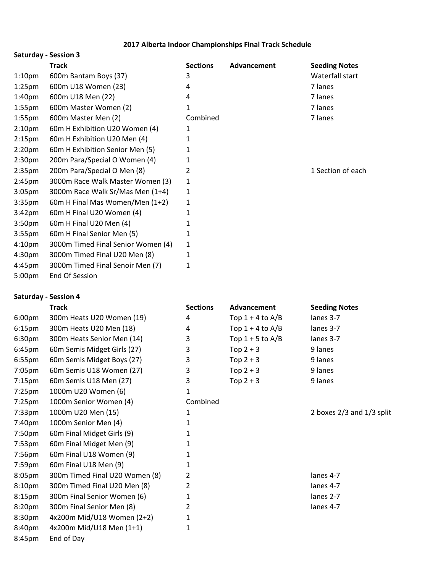### **2017 Alberta Indoor Championships Final Track Schedule**

|                    | <b>Saturday - Session 3</b>        |                 |             |                      |
|--------------------|------------------------------------|-----------------|-------------|----------------------|
|                    | <b>Track</b>                       | <b>Sections</b> | Advancement | <b>Seeding Notes</b> |
| 1:10 <sub>pm</sub> | 600m Bantam Boys (37)              | 3               |             | Waterfall start      |
| 1:25 <sub>pm</sub> | 600m U18 Women (23)                | 4               |             | 7 lanes              |
| 1:40 <sub>pm</sub> | 600m U18 Men (22)                  | 4               |             | 7 lanes              |
| $1:55$ pm          | 600m Master Women (2)              | 1               |             | 7 lanes              |
| $1:55$ pm          | 600m Master Men (2)                | Combined        |             | 7 lanes              |
| 2:10 <sub>pm</sub> | 60m H Exhibition U20 Women (4)     | 1               |             |                      |
| 2:15 <sub>pm</sub> | 60m H Exhibition U20 Men (4)       | 1               |             |                      |
| 2:20 <sub>pm</sub> | 60m H Exhibition Senior Men (5)    | 1               |             |                      |
| 2:30 <sub>pm</sub> | 200m Para/Special O Women (4)      | 1               |             |                      |
| 2:35 <sub>pm</sub> | 200m Para/Special O Men (8)        | 2               |             | 1 Section of each    |
| 2:45 <sub>pm</sub> | 3000m Race Walk Master Women (3)   | 1               |             |                      |
| 3:05 <sub>pm</sub> | 3000m Race Walk Sr/Mas Men (1+4)   | 1               |             |                      |
| 3:35 <sub>pm</sub> | 60m H Final Mas Women/Men (1+2)    | 1               |             |                      |
| 3:42 <sub>pm</sub> | 60m H Final U20 Women (4)          | 1               |             |                      |
| 3:50 <sub>pm</sub> | 60m H Final U20 Men (4)            | 1               |             |                      |
| 3:55 <sub>pm</sub> | 60m H Final Senior Men (5)         | 1               |             |                      |
| 4:10 <sub>pm</sub> | 3000m Timed Final Senior Women (4) | 1               |             |                      |
| 4:30 <sub>pm</sub> | 3000m Timed Final U20 Men (8)      | 1               |             |                      |
| 4:45 <sub>pm</sub> | 3000m Timed Final Senoir Men (7)   | 1               |             |                      |
| 5:00pm             | <b>End Of Session</b>              |                 |             |                      |

## **Saturday - Session 4**

|                    | <b>Track</b>                   | <b>Sections</b> | Advancement        | <b>Seeding Notes</b>      |
|--------------------|--------------------------------|-----------------|--------------------|---------------------------|
| 6:00pm             | 300m Heats U20 Women (19)      | 4               | Top $1 + 4$ to A/B | lanes 3-7                 |
| 6:15 <sub>pm</sub> | 300m Heats U20 Men (18)        | 4               | Top $1 + 4$ to A/B | lanes 3-7                 |
| 6:30pm             | 300m Heats Senior Men (14)     | 3               | Top $1 + 5$ to A/B | lanes 3-7                 |
| 6:45pm             | 60m Semis Midget Girls (27)    | 3               | Top $2 + 3$        | 9 lanes                   |
| 6:55pm             | 60m Semis Midget Boys (27)     | 3               | Top $2 + 3$        | 9 lanes                   |
| 7:05pm             | 60m Semis U18 Women (27)       | 3               | Top $2 + 3$        | 9 lanes                   |
| 7:15 <sub>pm</sub> | 60m Semis U18 Men (27)         | 3               | Top $2 + 3$        | 9 lanes                   |
| $7:25$ pm          | 1000m U20 Women (6)            | 1               |                    |                           |
| $7:25$ pm          | 1000m Senior Women (4)         | Combined        |                    |                           |
| $7:33$ pm          | 1000m U20 Men (15)             | 1               |                    | 2 boxes 2/3 and 1/3 split |
| 7:40pm             | 1000m Senior Men (4)           | 1               |                    |                           |
| 7:50pm             | 60m Final Midget Girls (9)     | 1               |                    |                           |
| 7:53 <sub>pm</sub> | 60m Final Midget Men (9)       | 1               |                    |                           |
| 7:56pm             | 60m Final U18 Women (9)        | 1               |                    |                           |
| 7:59pm             | 60m Final U18 Men (9)          | 1               |                    |                           |
| 8:05pm             | 300m Timed Final U20 Women (8) | 2               |                    | lanes 4-7                 |
| 8:10pm             | 300m Timed Final U20 Men (8)   | 2               |                    | lanes 4-7                 |
| 8:15 <sub>pm</sub> | 300m Final Senior Women (6)    | 1               |                    | lanes 2-7                 |
| 8:20pm             | 300m Final Senior Men (8)      | 2               |                    | lanes 4-7                 |
| 8:30pm             | 4x200m Mid/U18 Women (2+2)     | 1               |                    |                           |
| 8:40pm             | 4x200m Mid/U18 Men (1+1)       | 1               |                    |                           |
| 8:45pm             | End of Day                     |                 |                    |                           |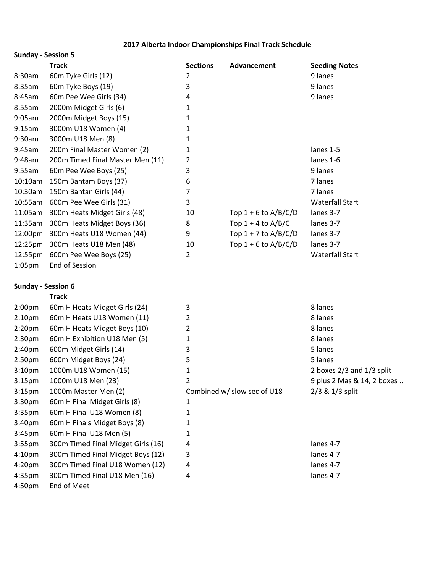### **2017 Alberta Indoor Championships Final Track Schedule**

|                           | <b>Track</b>                       | <b>Sections</b> | Advancement                 | <b>Seeding Notes</b>       |
|---------------------------|------------------------------------|-----------------|-----------------------------|----------------------------|
| 8:30am                    | 60m Tyke Girls (12)                | 2               |                             | 9 lanes                    |
| 8:35am                    | 60m Tyke Boys (19)                 | 3               |                             | 9 lanes                    |
| 8:45am                    | 60m Pee Wee Girls (34)             | 4               |                             | 9 lanes                    |
| 8:55am                    | 2000m Midget Girls (6)             | 1               |                             |                            |
| 9:05am                    | 2000m Midget Boys (15)             | 1               |                             |                            |
| 9:15am                    | 3000m U18 Women (4)                | 1               |                             |                            |
| 9:30am                    | 3000m U18 Men (8)                  | 1               |                             |                            |
| 9:45am                    | 200m Final Master Women (2)        | 1               |                             | lanes 1-5                  |
| 9:48am                    | 200m Timed Final Master Men (11)   | 2               |                             | lanes 1-6                  |
| 9:55am                    | 60m Pee Wee Boys (25)              | 3               |                             | 9 lanes                    |
| 10:10am                   | 150m Bantam Boys (37)              | 6               |                             | 7 lanes                    |
| 10:30am                   | 150m Bantan Girls (44)             | 7               |                             | 7 lanes                    |
| 10:55am                   | 600m Pee Wee Girls (31)            | 3               |                             | <b>Waterfall Start</b>     |
| 11:05am                   | 300m Heats Midget Girls (48)       | 10              | Top $1 + 6$ to A/B/C/D      | lanes 3-7                  |
| 11:35am                   | 300m Heats Midget Boys (36)        | 8               | Top $1 + 4$ to A/B/C        | lanes 3-7                  |
| 12:00pm                   | 300m Heats U18 Women (44)          | 9               | Top $1 + 7$ to A/B/C/D      | lanes 3-7                  |
| 12:25pm                   | 300m Heats U18 Men (48)            | 10              | Top $1 + 6$ to A/B/C/D      | lanes 3-7                  |
| 12:55pm                   | 600m Pee Wee Boys (25)             | $\overline{2}$  |                             | <b>Waterfall Start</b>     |
| 1:05 <sub>pm</sub>        | End of Session                     |                 |                             |                            |
| <b>Sunday - Session 6</b> |                                    |                 |                             |                            |
|                           | <b>Track</b>                       |                 |                             |                            |
| 2:00 <sub>pm</sub>        | 60m H Heats Midget Girls (24)      | 3               |                             | 8 lanes                    |
| 2:10 <sub>pm</sub>        | 60m H Heats U18 Women (11)         | 2               |                             | 8 lanes                    |
| 2:20 <sub>pm</sub>        | 60m H Heats Midget Boys (10)       | 2               |                             | 8 lanes                    |
| 2:30 <sub>pm</sub>        | 60m H Exhibition U18 Men (5)       | 1               |                             | 8 lanes                    |
| 2:40 <sub>pm</sub>        | 600m Midget Girls (14)             | 3               |                             | 5 lanes                    |
| 2:50 <sub>pm</sub>        | 600m Midget Boys (24)              | 5               |                             | 5 lanes                    |
| 3:10pm                    | 1000m U18 Women (15)               | 1               |                             | 2 boxes 2/3 and 1/3 split  |
| 3:15 <sub>pm</sub>        | 1000m U18 Men (23)                 | 2               |                             | 9 plus 2 Mas & 14, 2 boxes |
| 3:15 <sub>pm</sub>        | 1000m Master Men (2)               |                 | Combined w/ slow sec of U18 | 2/3 & 1/3 split            |
| 3:30pm                    | 60m H Final Midget Girls (8)       | 1               |                             |                            |
| 3:35pm                    | 60m H Final U18 Women (8)          | 1               |                             |                            |
| 3:40pm                    | 60m H Finals Midget Boys (8)       | 1               |                             |                            |
| 3:45pm                    | 60m H Final U18 Men (5)            | 1               |                             |                            |
| 3:55 <sub>pm</sub>        | 300m Timed Final Midget Girls (16) | 4               |                             | lanes 4-7                  |
| 4:10pm                    | 300m Timed Final Midget Boys (12)  | 3               |                             | lanes 4-7                  |
| 4:20pm                    | 300m Timed Final U18 Women (12)    | 4               |                             | lanes 4-7                  |
| 4:35pm                    | 300m Timed Final U18 Men (16)      | 4               |                             | lanes 4-7                  |
| 4:50pm                    | End of Meet                        |                 |                             |                            |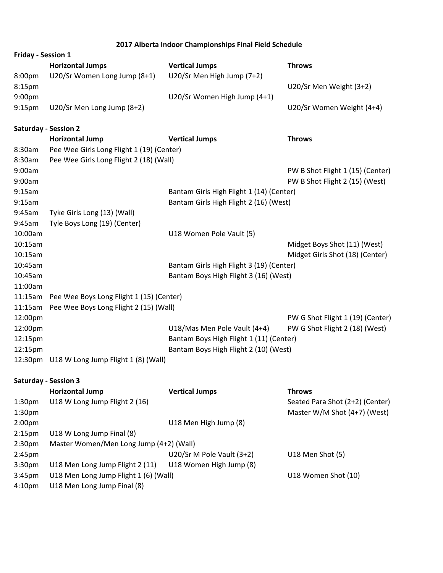#### **2017 Alberta Indoor Championships Final Field Schedule**

|                           | 2017 Alberta Muddi Championships Final Field Scriedule |                              |                           |  |
|---------------------------|--------------------------------------------------------|------------------------------|---------------------------|--|
| <b>Friday - Session 1</b> |                                                        |                              |                           |  |
|                           | <b>Horizontal Jumps</b>                                | <b>Vertical Jumps</b>        | <b>Throws</b>             |  |
| 8:00 <sub>pm</sub>        | U20/Sr Women Long Jump (8+1)                           | U20/Sr Men High Jump (7+2)   |                           |  |
| 8:15 <sub>pm</sub>        |                                                        |                              | U20/Sr Men Weight (3+2)   |  |
| 9:00 <sub>pm</sub>        |                                                        | U20/Sr Women High Jump (4+1) |                           |  |
| $9:15 \text{pm}$          | U20/Sr Men Long Jump (8+2)                             |                              | U20/Sr Women Weight (4+4) |  |
|                           |                                                        |                              |                           |  |

#### **Saturday - Session 2**

|         | <b>Horizontal Jump</b>                           | <b>Vertical Jumps</b>                    | <b>Throws</b>                    |
|---------|--------------------------------------------------|------------------------------------------|----------------------------------|
| 8:30am  | Pee Wee Girls Long Flight 1 (19) (Center)        |                                          |                                  |
| 8:30am  | Pee Wee Girls Long Flight 2 (18) (Wall)          |                                          |                                  |
| 9:00am  |                                                  |                                          | PW B Shot Flight 1 (15) (Center) |
| 9:00am  |                                                  |                                          | PW B Shot Flight 2 (15) (West)   |
| 9:15am  |                                                  | Bantam Girls High Flight 1 (14) (Center) |                                  |
| 9:15am  |                                                  | Bantam Girls High Flight 2 (16) (West)   |                                  |
| 9:45am  | Tyke Girls Long (13) (Wall)                      |                                          |                                  |
| 9:45am  | Tyle Boys Long (19) (Center)                     |                                          |                                  |
| 10:00am |                                                  | U18 Women Pole Vault (5)                 |                                  |
| 10:15am |                                                  |                                          | Midget Boys Shot (11) (West)     |
| 10:15am |                                                  |                                          | Midget Girls Shot (18) (Center)  |
| 10:45am |                                                  | Bantam Girls High Flight 3 (19) (Center) |                                  |
| 10:45am |                                                  | Bantam Boys High Flight 3 (16) (West)    |                                  |
| 11:00am |                                                  |                                          |                                  |
|         | 11:15am Pee Wee Boys Long Flight 1 (15) (Center) |                                          |                                  |
|         | 11:15am Pee Wee Boys Long Flight 2 (15) (Wall)   |                                          |                                  |
| 12:00pm |                                                  |                                          | PW G Shot Flight 1 (19) (Center) |
| 12:00pm |                                                  | U18/Mas Men Pole Vault (4+4)             | PW G Shot Flight 2 (18) (West)   |
| 12:15pm |                                                  | Bantam Boys High Flight 1 (11) (Center)  |                                  |
| 12:15pm |                                                  | Bantam Boys High Flight 2 (10) (West)    |                                  |
|         | 12:30pm U18 W Long Jump Flight 1 (8) (Wall)      |                                          |                                  |
|         | <b>Saturday - Session 3</b>                      |                                          |                                  |

|                    | <b>Horizontal Jump</b>                  | <b>Vertical Jumps</b>     | <b>Throws</b>                   |
|--------------------|-----------------------------------------|---------------------------|---------------------------------|
| 1:30 <sub>pm</sub> | U18 W Long Jump Flight 2 (16)           |                           | Seated Para Shot (2+2) (Center) |
| 1:30 <sub>pm</sub> |                                         |                           | Master W/M Shot (4+7) (West)    |
| 2:00 <sub>pm</sub> |                                         | U18 Men High Jump (8)     |                                 |
| 2:15 <sub>pm</sub> | U18 W Long Jump Final (8)               |                           |                                 |
| 2:30 <sub>pm</sub> | Master Women/Men Long Jump (4+2) (Wall) |                           |                                 |
| 2:45 <sub>pm</sub> |                                         | U20/Sr M Pole Vault (3+2) | U18 Men Shot (5)                |
| 3:30 <sub>pm</sub> | U18 Men Long Jump Flight 2 (11)         | U18 Women High Jump (8)   |                                 |
| 3:45 <sub>pm</sub> | U18 Men Long Jump Flight 1 (6) (Wall)   |                           | U18 Women Shot (10)             |
| 4:10 <sub>pm</sub> | U18 Men Long Jump Final (8)             |                           |                                 |